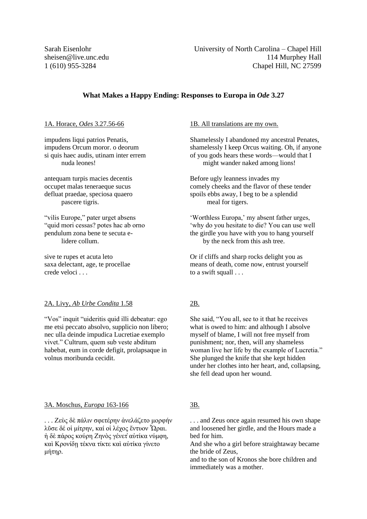# **What Makes a Happy Ending: Responses to Europa in** *Ode* **3.27**

1A. Horace, *Odes* 3.27.56-66

impudens liqui patrios Penatis, impudens Orcum moror. o deorum si quis haec audis, utinam inter errem nuda leones!

antequam turpis macies decentis occupet malas teneraeque sucus defluat praedae, speciosa quaero pascere tigris.

"vilis Europe," pater urget absens "quid mori cessas? potes hac ab orno pendulum zona bene te secuta e lidere collum.

sive te rupes et acuta leto saxa delectant, age, te procellae crede veloci . . .

### 2A. Livy, *Ab Urbe Condita* 1.58

"Vos" inquit "uideritis quid illi debeatur: ego me etsi peccato absolvo, supplicio non libero; nec ulla deinde impudica Lucretiae exemplo vivet." Cultrum, quem sub veste abditum habebat, eum in corde defigit, prolapsaque in volnus moribunda cecidit.

#### 3A. Moschus, *Europa* 163-166

. . . [Ζεὺς](http://www.perseus.tufts.edu/hopper/morph?l=*zeu%5Cs&la=greek&can=*zeu%5Cs1&prior=*krh/th) [δὲ](http://www.perseus.tufts.edu/hopper/morph?l=de%5C&la=greek&can=de%5C22&prior=*zeu/s) [πάλιν](http://www.perseus.tufts.edu/hopper/morph?l=pa%2Flin&la=greek&can=pa%2Flin1&prior=de/) [σφετέρην](http://www.perseus.tufts.edu/hopper/morph?l=sfete%2Frhn&la=greek&can=sfete%2Frhn1&prior=pa/lin) [ἀνελάζετο](http://www.perseus.tufts.edu/hopper/morph?l=a%29nela%2Fzeto&la=greek&can=a%29nela%2Fzeto0&prior=sfete/rhn) [μορφήν](http://www.perseus.tufts.edu/hopper/morph?l=morfh%2Fn&la=greek&can=morfh%2Fn0&prior=a)nela/zeto) [λῦσε](http://www.perseus.tufts.edu/hopper/morph?l=lu%3Dse&la=greek&can=lu%3Dse0&prior=morfh/n) [δέ](http://www.perseus.tufts.edu/hopper/morph?l=de%2F&la=greek&can=de%2F6&prior=lu=se) [οἱ](http://www.perseus.tufts.edu/hopper/morph?l=oi%28&la=greek&can=oi%286&prior=de/) [μίτρην,](http://www.perseus.tufts.edu/hopper/morph?l=mi%2Ftrhn&la=greek&can=mi%2Ftrhn1&prior=oi() [καί](http://www.perseus.tufts.edu/hopper/morph?l=kai%2F&la=greek&can=kai%2F2&prior=mi/trhn) [οἱ](http://www.perseus.tufts.edu/hopper/morph?l=oi%28&la=greek&can=oi%287&prior=kai/) [λέχος](http://www.perseus.tufts.edu/hopper/morph?l=le%2Fxos&la=greek&can=le%2Fxos1&prior=oi() [ἔντυον](http://www.perseus.tufts.edu/hopper/morph?l=e%29%2Fntuon&la=greek&can=e%29%2Fntuon0&prior=le/xos) [Ὧραι.](http://www.perseus.tufts.edu/hopper/morph?l=*%28%3Dwrai&la=greek&can=*%28%3Dwrai0&prior=e)/ntuon) [ἡ](http://www.perseus.tufts.edu/hopper/morph?l=h%28&la=greek&can=h%283&prior=*(=wrai) [δὲ](http://www.perseus.tufts.edu/hopper/morph?l=de%5C&la=greek&can=de%5C23&prior=h() [πάρος](http://www.perseus.tufts.edu/hopper/morph?l=pa%2Fros&la=greek&can=pa%2Fros0&prior=de/) [κούρη](http://www.perseus.tufts.edu/hopper/morph?l=kou%2Frh&la=greek&can=kou%2Frh0&prior=pa/ros) [Ζηνὸς](http://www.perseus.tufts.edu/hopper/morph?l=*zhno%5Cs&la=greek&can=*zhno%5Cs1&prior=kou/rh) [γένετ̓](http://www.perseus.tufts.edu/hopper/morph?l=ge%2Fnet%29&la=greek&can=ge%2Fnet%291&prior=*zhno/s) [αὐτίκα](http://www.perseus.tufts.edu/hopper/morph?l=au%29ti%2Fka&la=greek&can=au%29ti%2Fka0&prior=ge/net)) [νύμφη,](http://www.perseus.tufts.edu/hopper/morph?l=nu%2Fmfh&la=greek&can=nu%2Fmfh0&prior=au)ti/ka) [καὶ](http://www.perseus.tufts.edu/hopper/morph?l=kai%5C&la=greek&can=kai%5C23&prior=nu/mfh) [Κρονίδῃ](http://www.perseus.tufts.edu/hopper/morph?l=*kroni%2Fdh%7C&la=greek&can=*kroni%2Fdh%7C0&prior=kai/) [τέκνα](http://www.perseus.tufts.edu/hopper/morph?l=te%2Fkna&la=greek&can=te%2Fkna0&prior=*kroni/dh|) [τίκτε](http://www.perseus.tufts.edu/hopper/morph?l=ti%2Fkte&la=greek&can=ti%2Fkte0&prior=te/kna) [καὶ](http://www.perseus.tufts.edu/hopper/morph?l=kai%5C&la=greek&can=kai%5C24&prior=ti/kte) [αὐτίκα](http://www.perseus.tufts.edu/hopper/morph?l=au%29ti%2Fka&la=greek&can=au%29ti%2Fka1&prior=kai/) [γίνετο](http://www.perseus.tufts.edu/hopper/morph?l=gi%2Fneto&la=greek&can=gi%2Fneto0&prior=au)ti/ka) [μήτηρ.](http://www.perseus.tufts.edu/hopper/morph?l=mh%2Fthr&la=greek&can=mh%2Fthr1&prior=gi/neto)

### 1B. All translations are my own.

Shamelessly I abandoned my ancestral Penates, shamelessly I keep Orcus waiting. Oh, if anyone of you gods hears these words—would that I might wander naked among lions!

Before ugly leanness invades my comely cheeks and the flavor of these tender spoils ebbs away, I beg to be a splendid meal for tigers.

'Worthless Europa,' my absent father urges, 'why do you hesitate to die? You can use well the girdle you have with you to hang yourself by the neck from this ash tree.

Or if cliffs and sharp rocks delight you as means of death, come now, entrust yourself to a swift squall . . .

## 2B.

She said, "You all, see to it that he receives what is owed to him: and although I absolve myself of blame, I will not free myself from punishment; nor, then, will any shameless woman live her life by the example of Lucretia." She plunged the knife that she kept hidden under her clothes into her heart, and, collapsing, she fell dead upon her wound.

## 3B.

. . . and Zeus once again resumed his own shape and loosened her girdle, and the Hours made a bed for him.

And she who a girl before straightaway became the bride of Zeus,

and to the son of Kronos she bore children and immediately was a mother.